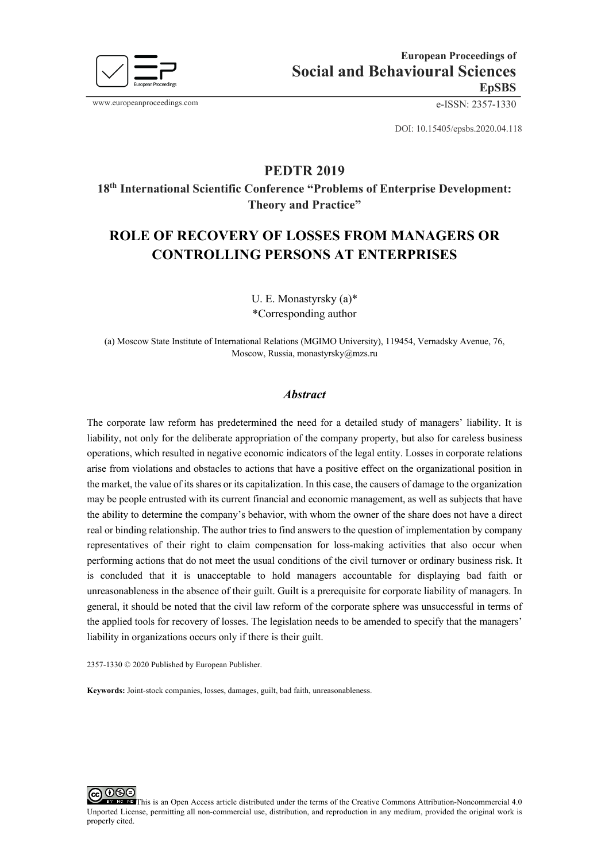

www.europeanproceedings.com e-ISSN: 2357-1330

DOI: 10.15405/epsbs.2020.04.118

# **PEDTR 2019**

**18th International Scientific Conference "Problems of Enterprise Development: Theory and Practice"** 

# **ROLE OF RECOVERY OF LOSSES FROM MANAGERS OR CONTROLLING PERSONS AT ENTERPRISES**

U. E. Monastyrsky (a)\* \*Corresponding author

(a) Moscow State Institute of International Relations (MGIMO University), 119454, Vernadsky Avenue, 76, Moscow, Russia, monastyrsky@mzs.ru

#### *Abstract*

The corporate law reform has predetermined the need for a detailed study of managers' liability. It is liability, not only for the deliberate appropriation of the company property, but also for careless business operations, which resulted in negative economic indicators of the legal entity. Losses in corporate relations arise from violations and obstacles to actions that have a positive effect on the organizational position in the market, the value of its shares or its capitalization. In this case, the causers of damage to the organization may be people entrusted with its current financial and economic management, as well as subjects that have the ability to determine the company's behavior, with whom the owner of the share does not have a direct real or binding relationship. The author tries to find answers to the question of implementation by company representatives of their right to claim compensation for loss-making activities that also occur when performing actions that do not meet the usual conditions of the civil turnover or ordinary business risk. It is concluded that it is unacceptable to hold managers accountable for displaying bad faith or unreasonableness in the absence of their guilt. Guilt is a prerequisite for corporate liability of managers. In general, it should be noted that the civil law reform of the corporate sphere was unsuccessful in terms of the applied tools for recovery of losses. The legislation needs to be amended to specify that the managers' liability in organizations occurs only if there is their guilt.

2357-1330 © 2020 Published by European Publisher.

**Keywords:** Joint-stock companies, losses, damages, guilt, bad faith, unreasonableness.



This is an Open Access article distributed under the terms of the Creative Commons Attribution-Noncommercial 4.0 Unported License, permitting all non-commercial use, distribution, and reproduction in any medium, provided the original work is properly cited.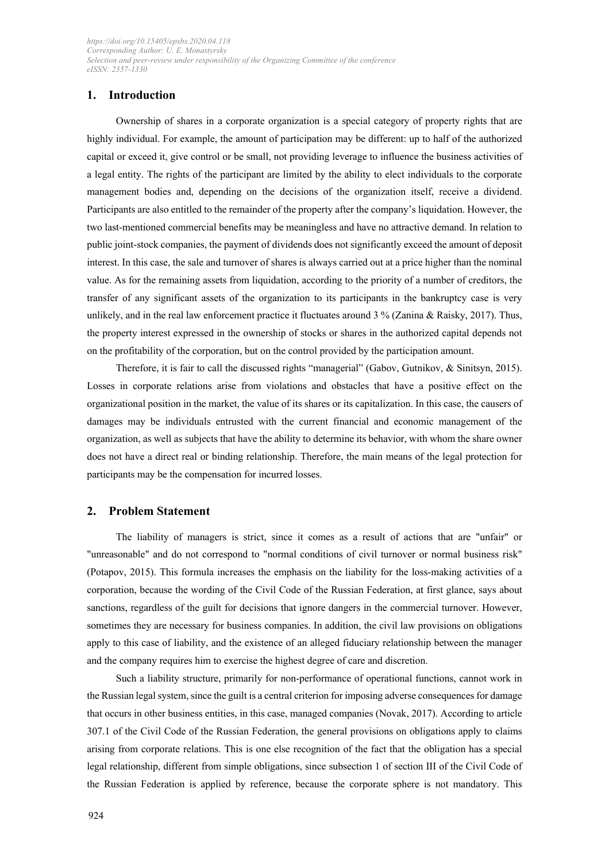# **1. Introduction**

Ownership of shares in a corporate organization is a special category of property rights that are highly individual. For example, the amount of participation may be different: up to half of the authorized capital or exceed it, give control or be small, not providing leverage to influence the business activities of a legal entity. The rights of the participant are limited by the ability to elect individuals to the corporate management bodies and, depending on the decisions of the organization itself, receive a dividend. Participants are also entitled to the remainder of the property after the company's liquidation. However, the two last-mentioned commercial benefits may be meaningless and have no attractive demand. In relation to public joint-stock companies, the payment of dividends does not significantly exceed the amount of deposit interest. In this case, the sale and turnover of shares is always carried out at a price higher than the nominal value. As for the remaining assets from liquidation, according to the priority of a number of creditors, the transfer of any significant assets of the organization to its participants in the bankruptcy case is very unlikely, and in the real law enforcement practice it fluctuates around  $3\%$  (Zanina & Raisky, 2017). Thus, the property interest expressed in the ownership of stocks or shares in the authorized capital depends not on the profitability of the corporation, but on the control provided by the participation amount.

Therefore, it is fair to call the discussed rights "managerial" (Gabov, Gutnikov, & Sinitsyn, 2015). Losses in corporate relations arise from violations and obstacles that have a positive effect on the organizational position in the market, the value of its shares or its capitalization. In this case, the causers of damages may be individuals entrusted with the current financial and economic management of the organization, as well as subjects that have the ability to determine its behavior, with whom the share owner does not have a direct real or binding relationship. Therefore, the main means of the legal protection for participants may be the compensation for incurred losses.

## **2. Problem Statement**

The liability of managers is strict, since it comes as a result of actions that are "unfair" or "unreasonable" and do not correspond to "normal conditions of civil turnover or normal business risk" (Potapov, 2015). This formula increases the emphasis on the liability for the loss-making activities of a corporation, because the wording of the Civil Code of the Russian Federation, at first glance, says about sanctions, regardless of the guilt for decisions that ignore dangers in the commercial turnover. However, sometimes they are necessary for business companies. In addition, the civil law provisions on obligations apply to this case of liability, and the existence of an alleged fiduciary relationship between the manager and the company requires him to exercise the highest degree of care and discretion.

Such a liability structure, primarily for non-performance of operational functions, cannot work in the Russian legal system, since the guilt is a central criterion for imposing adverse consequences for damage that occurs in other business entities, in this case, managed companies (Novak, 2017). According to article 307.1 of the Civil Code of the Russian Federation, the general provisions on obligations apply to claims arising from corporate relations. This is one else recognition of the fact that the obligation has a special legal relationship, different from simple obligations, since subsection 1 of section III of the Civil Code of the Russian Federation is applied by reference, because the corporate sphere is not mandatory. This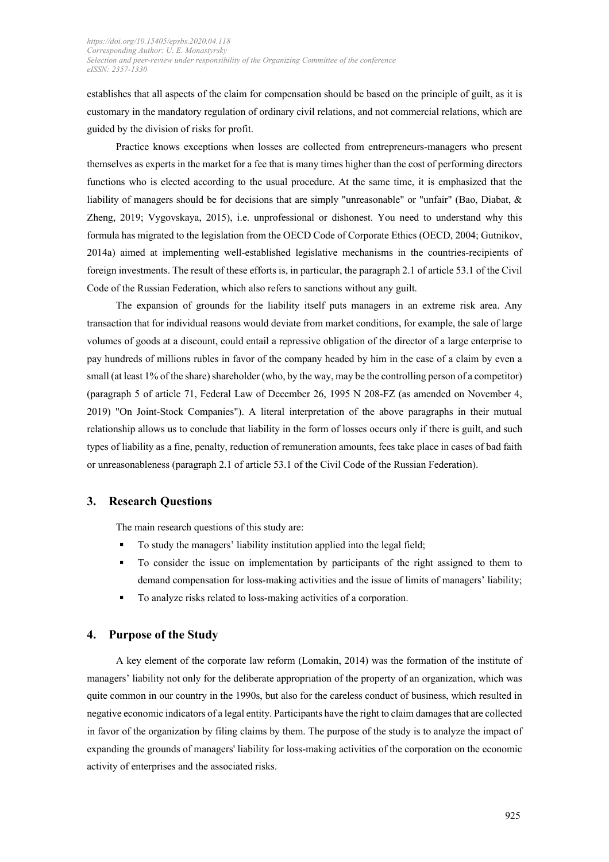establishes that all aspects of the claim for compensation should be based on the principle of guilt, as it is customary in the mandatory regulation of ordinary civil relations, and not commercial relations, which are guided by the division of risks for profit.

Practice knows exceptions when losses are collected from entrepreneurs-managers who present themselves as experts in the market for a fee that is many times higher than the cost of performing directors functions who is elected according to the usual procedure. At the same time, it is emphasized that the liability of managers should be for decisions that are simply "unreasonable" or "unfair" (Bao, Diabat, & Zheng, 2019; Vygovskaya, 2015), i.e. unprofessional or dishonest. You need to understand why this formula has migrated to the legislation from the OECD Code of Corporate Ethics (OECD, 2004; Gutnikov, 2014a) aimed at implementing well-established legislative mechanisms in the countries-recipients of foreign investments. The result of these efforts is, in particular, the paragraph 2.1 of article 53.1 of the Civil Code of the Russian Federation, which also refers to sanctions without any guilt.

The expansion of grounds for the liability itself puts managers in an extreme risk area. Any transaction that for individual reasons would deviate from market conditions, for example, the sale of large volumes of goods at a discount, could entail a repressive obligation of the director of a large enterprise to pay hundreds of millions rubles in favor of the company headed by him in the case of a claim by even a small (at least 1% of the share) shareholder (who, by the way, may be the controlling person of a competitor) (paragraph 5 of article 71, Federal Law of December 26, 1995 N 208-FZ (as amended on November 4, 2019) "On Joint-Stock Companies"). A literal interpretation of the above paragraphs in their mutual relationship allows us to conclude that liability in the form of losses occurs only if there is guilt, and such types of liability as a fine, penalty, reduction of remuneration amounts, fees take place in cases of bad faith or unreasonableness (paragraph 2.1 of article 53.1 of the Civil Code of the Russian Federation).

## **3. Research Questions**

The main research questions of this study are:

- To study the managers' liability institution applied into the legal field;
- § To consider the issue on implementation by participants of the right assigned to them to demand compensation for loss-making activities and the issue of limits of managers' liability;
- § To analyze risks related to loss-making activities of a corporation.

#### **4. Purpose of the Study**

A key element of the corporate law reform (Lomakin, 2014) was the formation of the institute of managers' liability not only for the deliberate appropriation of the property of an organization, which was quite common in our country in the 1990s, but also for the careless conduct of business, which resulted in negative economic indicators of a legal entity. Participants have the right to claim damages that are collected in favor of the organization by filing claims by them. The purpose of the study is to analyze the impact of expanding the grounds of managers' liability for loss-making activities of the corporation on the economic activity of enterprises and the associated risks.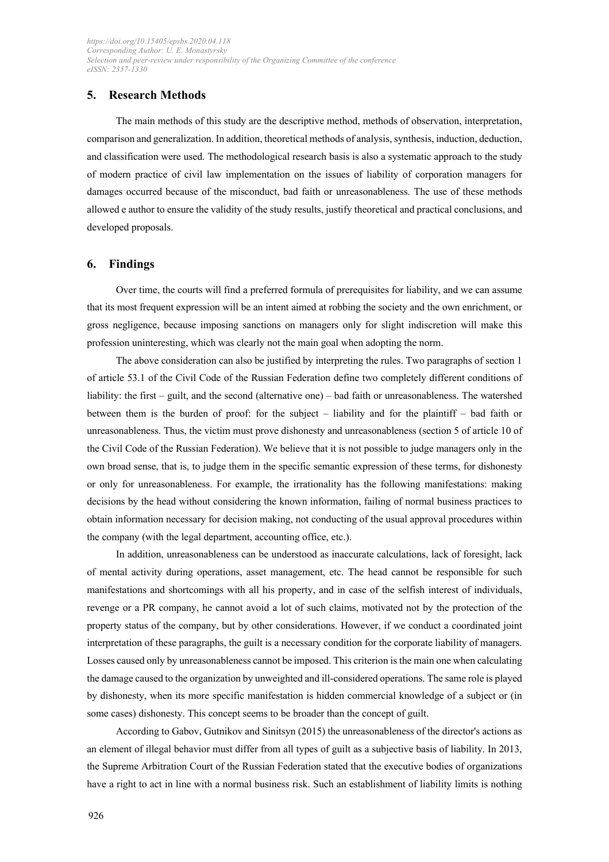# **5. Research Methods**

The main methods of this study are the descriptive method, methods of observation, interpretation, comparison and generalization. In addition, theoretical methods of analysis, synthesis, induction, deduction, and classification were used. The methodological research basis is also a systematic approach to the study of modern practice of civil law implementation on the issues of liability of corporation managers for damages occurred because of the misconduct, bad faith or unreasonableness. The use of these methods allowed e author to ensure the validity of the study results, justify theoretical and practical conclusions, and developed proposals.

## **6. Findings**

Over time, the courts will find a preferred formula of prerequisites for liability, and we can assume that its most frequent expression will be an intent aimed at robbing the society and the own enrichment, or gross negligence, because imposing sanctions on managers only for slight indiscretion will make this profession uninteresting, which was clearly not the main goal when adopting the norm.

The above consideration can also be justified by interpreting the rules. Two paragraphs of section 1 of article 53.1 of the Civil Code of the Russian Federation define two completely different conditions of liability: the first – guilt, and the second (alternative one) – bad faith or unreasonableness. The watershed between them is the burden of proof: for the subject – liability and for the plaintiff – bad faith or unreasonableness. Thus, the victim must prove dishonesty and unreasonableness (section 5 of article 10 of the Civil Code of the Russian Federation). We believe that it is not possible to judge managers only in the own broad sense, that is, to judge them in the specific semantic expression of these terms, for dishonesty or only for unreasonableness. For example, the irrationality has the following manifestations: making decisions by the head without considering the known information, failing of normal business practices to obtain information necessary for decision making, not conducting of the usual approval procedures within the company (with the legal department, accounting office, etc.).

In addition, unreasonableness can be understood as inaccurate calculations, lack of foresight, lack of mental activity during operations, asset management, etc. The head cannot be responsible for such manifestations and shortcomings with all his property, and in case of the selfish interest of individuals, revenge or a PR company, he cannot avoid a lot of such claims, motivated not by the protection of the property status of the company, but by other considerations. However, if we conduct a coordinated joint interpretation of these paragraphs, the guilt is a necessary condition for the corporate liability of managers. Losses caused only by unreasonableness cannot be imposed. This criterion is the main one when calculating the damage caused to the organization by unweighted and ill-considered operations. The same role is played by dishonesty, when its more specific manifestation is hidden commercial knowledge of a subject or (in some cases) dishonesty. This concept seems to be broader than the concept of guilt.

According to Gabov, Gutnikov and Sinitsyn (2015) the unreasonableness of the director's actions as an element of illegal behavior must differ from all types of guilt as a subjective basis of liability. In 2013, the Supreme Arbitration Court of the Russian Federation stated that the executive bodies of organizations have a right to act in line with a normal business risk. Such an establishment of liability limits is nothing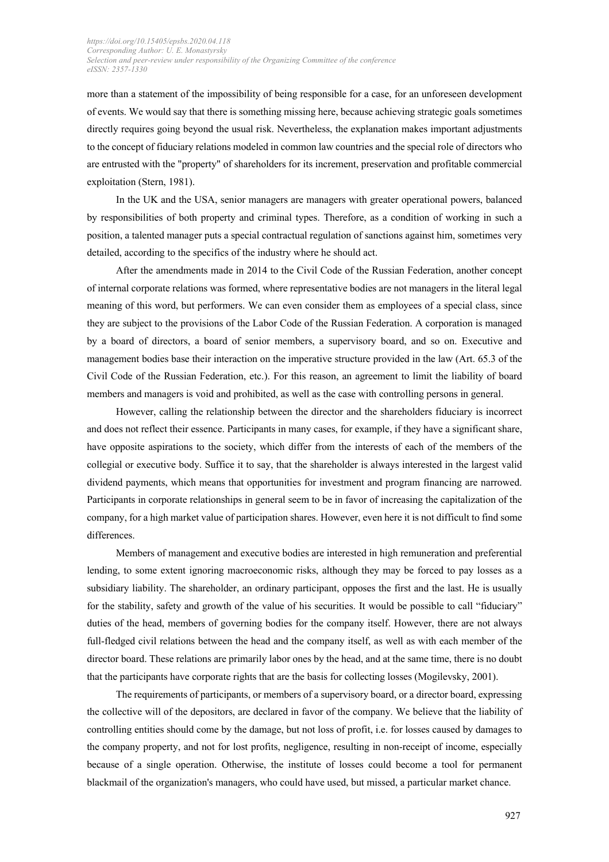more than a statement of the impossibility of being responsible for a case, for an unforeseen development of events. We would say that there is something missing here, because achieving strategic goals sometimes directly requires going beyond the usual risk. Nevertheless, the explanation makes important adjustments to the concept of fiduciary relations modeled in common law countries and the special role of directors who are entrusted with the "property" of shareholders for its increment, preservation and profitable commercial exploitation (Stern, 1981).

In the UK and the USA, senior managers are managers with greater operational powers, balanced by responsibilities of both property and criminal types. Therefore, as a condition of working in such a position, a talented manager puts a special contractual regulation of sanctions against him, sometimes very detailed, according to the specifics of the industry where he should act.

After the amendments made in 2014 to the Civil Code of the Russian Federation, another concept of internal corporate relations was formed, where representative bodies are not managers in the literal legal meaning of this word, but performers. We can even consider them as employees of a special class, since they are subject to the provisions of the Labor Code of the Russian Federation. A corporation is managed by a board of directors, a board of senior members, a supervisory board, and so on. Executive and management bodies base their interaction on the imperative structure provided in the law (Art. 65.3 of the Civil Code of the Russian Federation, etc.). For this reason, an agreement to limit the liability of board members and managers is void and prohibited, as well as the case with controlling persons in general.

However, calling the relationship between the director and the shareholders fiduciary is incorrect and does not reflect their essence. Participants in many cases, for example, if they have a significant share, have opposite aspirations to the society, which differ from the interests of each of the members of the collegial or executive body. Suffice it to say, that the shareholder is always interested in the largest valid dividend payments, which means that opportunities for investment and program financing are narrowed. Participants in corporate relationships in general seem to be in favor of increasing the capitalization of the company, for a high market value of participation shares. However, even here it is not difficult to find some differences.

Members of management and executive bodies are interested in high remuneration and preferential lending, to some extent ignoring macroeconomic risks, although they may be forced to pay losses as a subsidiary liability. The shareholder, an ordinary participant, opposes the first and the last. He is usually for the stability, safety and growth of the value of his securities. It would be possible to call "fiduciary" duties of the head, members of governing bodies for the company itself. However, there are not always full-fledged civil relations between the head and the company itself, as well as with each member of the director board. These relations are primarily labor ones by the head, and at the same time, there is no doubt that the participants have corporate rights that are the basis for collecting losses (Mogilevsky, 2001).

The requirements of participants, or members of a supervisory board, or a director board, expressing the collective will of the depositors, are declared in favor of the company. We believe that the liability of controlling entities should come by the damage, but not loss of profit, i.e. for losses caused by damages to the company property, and not for lost profits, negligence, resulting in non-receipt of income, especially because of a single operation. Otherwise, the institute of losses could become a tool for permanent blackmail of the organization's managers, who could have used, but missed, a particular market chance.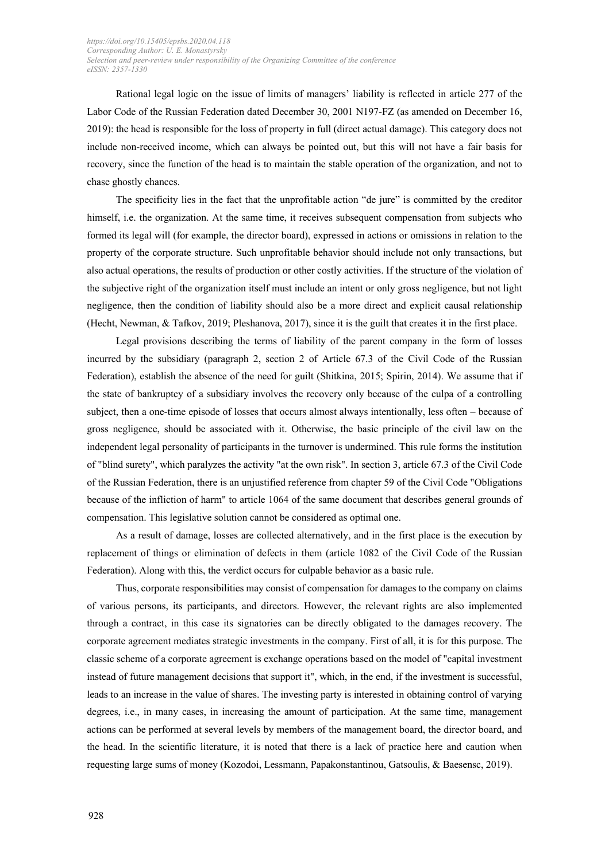Rational legal logic on the issue of limits of managers' liability is reflected in article 277 of the Labor Code of the Russian Federation dated December 30, 2001 N197-FZ (as amended on December 16, 2019): the head is responsible for the loss of property in full (direct actual damage). This category does not include non-received income, which can always be pointed out, but this will not have a fair basis for recovery, since the function of the head is to maintain the stable operation of the organization, and not to chase ghostly chances.

The specificity lies in the fact that the unprofitable action "de jure" is committed by the creditor himself, i.e. the organization. At the same time, it receives subsequent compensation from subjects who formed its legal will (for example, the director board), expressed in actions or omissions in relation to the property of the corporate structure. Such unprofitable behavior should include not only transactions, but also actual operations, the results of production or other costly activities. If the structure of the violation of the subjective right of the organization itself must include an intent or only gross negligence, but not light negligence, then the condition of liability should also be a more direct and explicit causal relationship (Hecht, Newman, & Tafkov, 2019; Pleshanova, 2017), since it is the guilt that creates it in the first place.

Legal provisions describing the terms of liability of the parent company in the form of losses incurred by the subsidiary (paragraph 2, section 2 of Article 67.3 of the Civil Code of the Russian Federation), establish the absence of the need for guilt (Shitkina, 2015; Spirin, 2014). We assume that if the state of bankruptcy of a subsidiary involves the recovery only because of the culpa of a controlling subject, then a one-time episode of losses that occurs almost always intentionally, less often – because of gross negligence, should be associated with it. Otherwise, the basic principle of the civil law on the independent legal personality of participants in the turnover is undermined. This rule forms the institution of "blind surety", which paralyzes the activity "at the own risk". In section 3, article 67.3 of the Civil Code of the Russian Federation, there is an unjustified reference from сhapter 59 of the Civil Code "Obligations because of the infliction of harm" to article 1064 of the same document that describes general grounds of compensation. This legislative solution cannot be considered as optimal one.

As a result of damage, losses are collected alternatively, and in the first place is the execution by replacement of things or elimination of defects in them (article 1082 of the Civil Code of the Russian Federation). Along with this, the verdict occurs for culpable behavior as a basic rule.

Thus, corporate responsibilities may consist of compensation for damages to the company on claims of various persons, its participants, and directors. However, the relevant rights are also implemented through a contract, in this case its signatories can be directly obligated to the damages recovery. The corporate agreement mediates strategic investments in the company. First of all, it is for this purpose. The classic scheme of a corporate agreement is exchange operations based on the model of "capital investment instead of future management decisions that support it", which, in the end, if the investment is successful, leads to an increase in the value of shares. The investing party is interested in obtaining control of varying degrees, i.e., in many cases, in increasing the amount of participation. At the same time, management actions can be performed at several levels by members of the management board, the director board, and the head. In the scientific literature, it is noted that there is a lack of practice here and caution when requesting large sums of money (Kozodoi, Lessmann, Papakonstantinou, Gatsoulis, & Baesensc, 2019).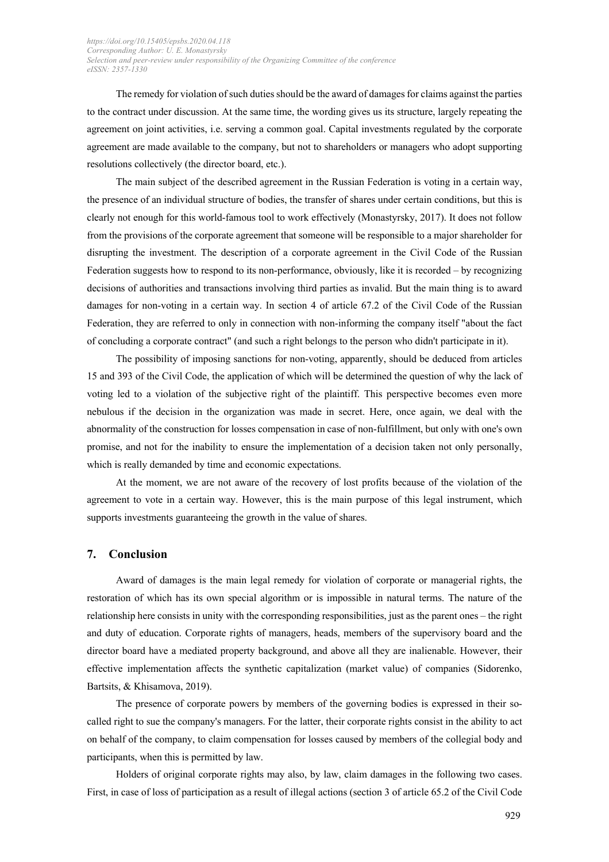The remedy for violation of such duties should be the award of damages for claims against the parties to the contract under discussion. At the same time, the wording gives us its structure, largely repeating the agreement on joint activities, i.e. serving a common goal. Capital investments regulated by the corporate agreement are made available to the company, but not to shareholders or managers who adopt supporting resolutions collectively (the director board, etc.).

The main subject of the described agreement in the Russian Federation is voting in a certain way, the presence of an individual structure of bodies, the transfer of shares under certain conditions, but this is clearly not enough for this world-famous tool to work effectively (Monastyrsky, 2017). It does not follow from the provisions of the corporate agreement that someone will be responsible to a major shareholder for disrupting the investment. The description of a corporate agreement in the Civil Code of the Russian Federation suggests how to respond to its non-performance, obviously, like it is recorded – by recognizing decisions of authorities and transactions involving third parties as invalid. But the main thing is to award damages for non-voting in a certain way. In section 4 of article 67.2 of the Civil Code of the Russian Federation, they are referred to only in connection with non-informing the company itself "about the fact of concluding a corporate contract" (and such a right belongs to the person who didn't participate in it).

The possibility of imposing sanctions for non-voting, apparently, should be deduced from articles 15 and 393 of the Civil Code, the application of which will be determined the question of why the lack of voting led to a violation of the subjective right of the plaintiff. This perspective becomes even more nebulous if the decision in the organization was made in secret. Here, once again, we deal with the abnormality of the construction for losses compensation in case of non-fulfillment, but only with one's own promise, and not for the inability to ensure the implementation of a decision taken not only personally, which is really demanded by time and economic expectations.

At the moment, we are not aware of the recovery of lost profits because of the violation of the agreement to vote in a certain way. However, this is the main purpose of this legal instrument, which supports investments guaranteeing the growth in the value of shares.

## **7. Conclusion**

Award of damages is the main legal remedy for violation of corporate or managerial rights, the restoration of which has its own special algorithm or is impossible in natural terms. The nature of the relationship here consists in unity with the corresponding responsibilities, just as the parent ones – the right and duty of education. Corporate rights of managers, heads, members of the supervisory board and the director board have a mediated property background, and above all they are inalienable. However, their effective implementation affects the synthetic capitalization (market value) of companies (Sidorenko, Bartsits, & Khisamova, 2019).

The presence of corporate powers by members of the governing bodies is expressed in their socalled right to sue the company's managers. For the latter, their corporate rights consist in the ability to act on behalf of the company, to claim compensation for losses caused by members of the collegial body and participants, when this is permitted by law.

Holders of original corporate rights may also, by law, claim damages in the following two cases. First, in case of loss of participation as a result of illegal actions (section 3 of article 65.2 of the Civil Code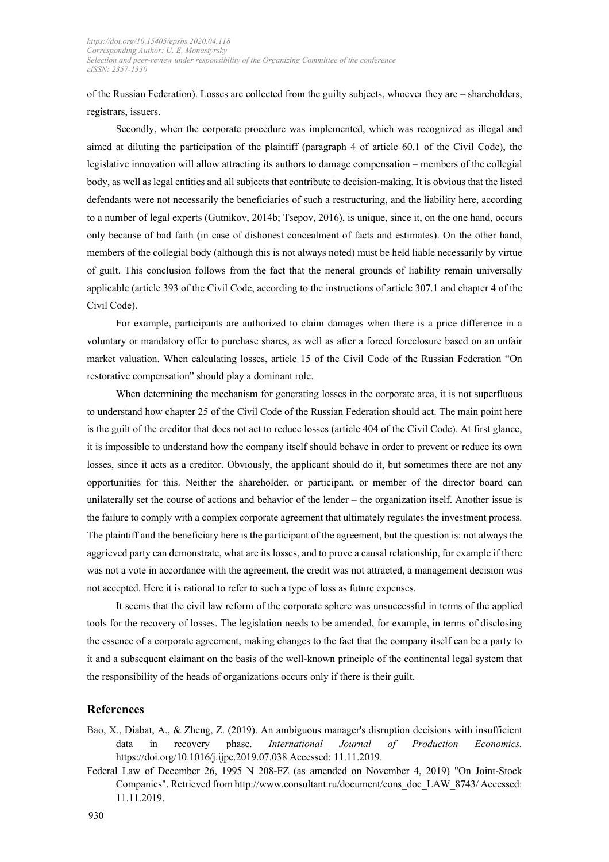of the Russian Federation). Losses are collected from the guilty subjects, whoever they are – shareholders, registrars, issuers.

Secondly, when the corporate procedure was implemented, which was recognized as illegal and aimed at diluting the participation of the plaintiff (paragraph 4 of article 60.1 of the Сivil Сode), the legislative innovation will allow attracting its authors to damage compensation – members of the collegial body, as well as legal entities and all subjects that contribute to decision-making. It is obvious that the listed defendants were not necessarily the beneficiaries of such a restructuring, and the liability here, according to a number of legal experts (Gutnikov, 2014b; Tsepov, 2016), is unique, since it, on the one hand, occurs only because of bad faith (in case of dishonest concealment of facts and estimates). On the other hand, members of the collegial body (although this is not always noted) must be held liable necessarily by virtue of guilt. This conclusion follows from the fact that the пeneral grounds of liability remain universally applicable (article 393 of the Сivil Сode, according to the instructions of article 307.1 and сhapter 4 of the Сivil Сode).

For example, participants are authorized to claim damages when there is a price difference in a voluntary or mandatory offer to purchase shares, as well as after a forced foreclosure based on an unfair market valuation. When calculating losses, article 15 of the Сivil Сode of the Russian Federation "On restorative compensation" should play a dominant role.

When determining the mechanism for generating losses in the corporate area, it is not superfluous to understand how chapter 25 of the Civil Code of the Russian Federation should act. The main point here is the guilt of the creditor that does not act to reduce losses (article 404 of the Civil Code). At first glance, it is impossible to understand how the company itself should behave in order to prevent or reduce its own losses, since it acts as a creditor. Obviously, the applicant should do it, but sometimes there are not any opportunities for this. Neither the shareholder, or participant, or member of the director board can unilaterally set the course of actions and behavior of the lender – the organization itself. Another issue is the failure to comply with a complex corporate agreement that ultimately regulates the investment process. The plaintiff and the beneficiary here is the participant of the agreement, but the question is: not always the aggrieved party can demonstrate, what are its losses, and to prove a causal relationship, for example if there was not a vote in accordance with the agreement, the credit was not attracted, a management decision was not accepted. Here it is rational to refer to such a type of loss as future expenses.

It seems that the civil law reform of the corporate sphere was unsuccessful in terms of the applied tools for the recovery of losses. The legislation needs to be amended, for example, in terms of disclosing the essence of a corporate agreement, making changes to the fact that the company itself can be a party to it and a subsequent claimant on the basis of the well-known principle of the continental legal system that the responsibility of the heads of organizations occurs only if there is their guilt.

### **References**

- Bao, X., Diabat, A., & Zheng, Z. (2019). An ambiguous manager's disruption decisions with insufficient data in recovery phase. *International Journal of Production Economics.* https://doi.org/10.1016/j.ijpe.2019.07.038 Accessed: 11.11.2019.
- Federal Law of December 26, 1995 N 208-FZ (as amended on November 4, 2019) "On Joint-Stock Companies". Retrieved from http://www.consultant.ru/document/cons\_doc\_LAW\_8743/ Accessed: 11.11.2019.